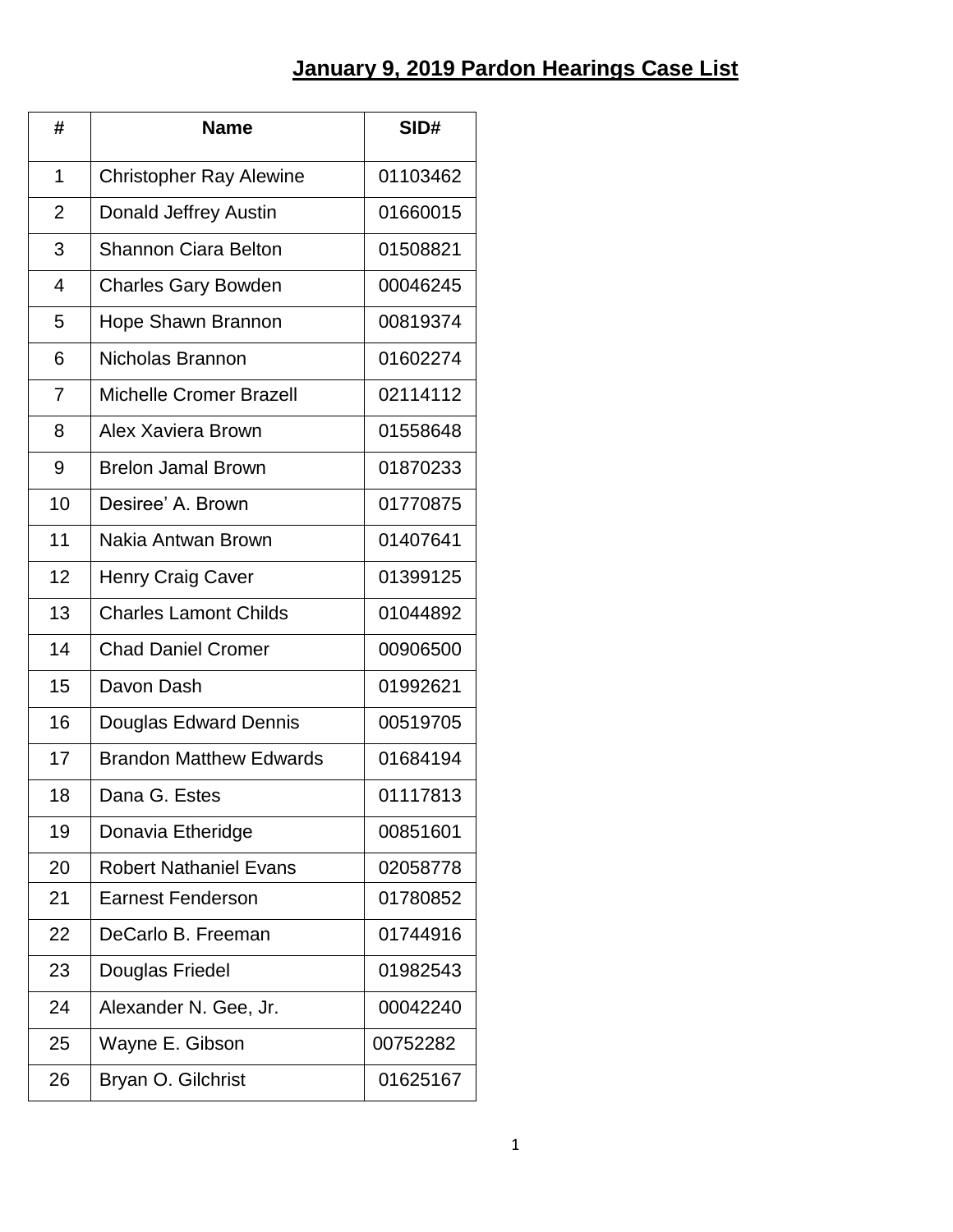## **January 9, 2019 Pardon Hearings Case List**

| #              | <b>Name</b>                    | SID#     |
|----------------|--------------------------------|----------|
| 1              | <b>Christopher Ray Alewine</b> | 01103462 |
| $\overline{2}$ | Donald Jeffrey Austin          | 01660015 |
| 3              | <b>Shannon Ciara Belton</b>    | 01508821 |
| 4              | <b>Charles Gary Bowden</b>     | 00046245 |
| 5              | Hope Shawn Brannon             | 00819374 |
| 6              | Nicholas Brannon               | 01602274 |
| $\overline{7}$ | <b>Michelle Cromer Brazell</b> | 02114112 |
| 8              | Alex Xaviera Brown             | 01558648 |
| 9              | <b>Brelon Jamal Brown</b>      | 01870233 |
| 10             | Desiree' A. Brown              | 01770875 |
| 11             | Nakia Antwan Brown             | 01407641 |
| 12             | <b>Henry Craig Caver</b>       | 01399125 |
| 13             | <b>Charles Lamont Childs</b>   | 01044892 |
| 14             | <b>Chad Daniel Cromer</b>      | 00906500 |
| 15             | Davon Dash                     | 01992621 |
| 16             | Douglas Edward Dennis          | 00519705 |
| 17             | <b>Brandon Matthew Edwards</b> | 01684194 |
| 18             | Dana G. Estes                  | 01117813 |
| 19             | Donavia Etheridge              | 00851601 |
| 20             | <b>Robert Nathaniel Evans</b>  | 02058778 |
| 21             | <b>Earnest Fenderson</b>       | 01780852 |
| 22             | DeCarlo B. Freeman             | 01744916 |
| 23             | Douglas Friedel                | 01982543 |
| 24             | Alexander N. Gee, Jr.          | 00042240 |
| 25             | Wayne E. Gibson                | 00752282 |
| 26             | Bryan O. Gilchrist             | 01625167 |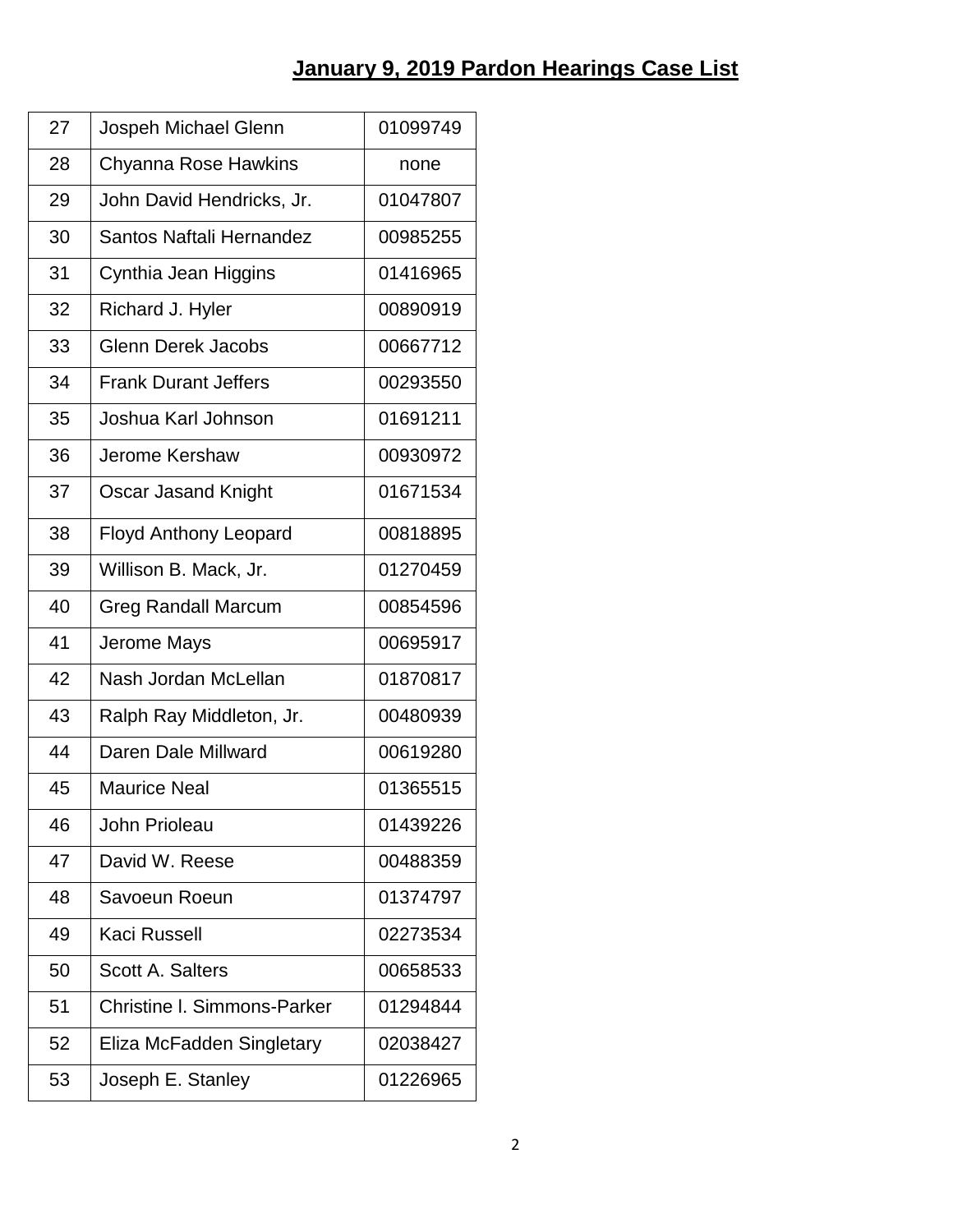| 27 | Jospeh Michael Glenn               | 01099749 |
|----|------------------------------------|----------|
| 28 | Chyanna Rose Hawkins               | none     |
| 29 | John David Hendricks, Jr.          | 01047807 |
| 30 | Santos Naftali Hernandez           | 00985255 |
| 31 | Cynthia Jean Higgins               | 01416965 |
| 32 | Richard J. Hyler                   | 00890919 |
| 33 | <b>Glenn Derek Jacobs</b>          | 00667712 |
| 34 | <b>Frank Durant Jeffers</b>        | 00293550 |
| 35 | Joshua Karl Johnson                | 01691211 |
| 36 | Jerome Kershaw                     | 00930972 |
| 37 | Oscar Jasand Knight                | 01671534 |
| 38 | <b>Floyd Anthony Leopard</b>       | 00818895 |
| 39 | Willison B. Mack, Jr.              | 01270459 |
| 40 | <b>Greg Randall Marcum</b>         | 00854596 |
| 41 | Jerome Mays                        | 00695917 |
| 42 | Nash Jordan McLellan               | 01870817 |
| 43 | Ralph Ray Middleton, Jr.           | 00480939 |
| 44 | Daren Dale Millward                | 00619280 |
| 45 | <b>Maurice Neal</b>                | 01365515 |
| 46 | John Prioleau                      | 01439226 |
| 47 | David W. Reese                     | 00488359 |
| 48 | Savoeun Roeun                      | 01374797 |
| 49 | <b>Kaci Russell</b>                | 02273534 |
| 50 | <b>Scott A. Salters</b>            | 00658533 |
| 51 | <b>Christine I. Simmons-Parker</b> | 01294844 |
| 52 | Eliza McFadden Singletary          | 02038427 |
| 53 | Joseph E. Stanley                  | 01226965 |